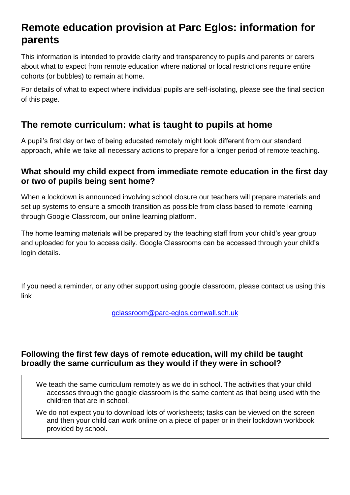# **Remote education provision at Parc Eglos: information for parents**

This information is intended to provide clarity and transparency to pupils and parents or carers about what to expect from remote education where national or local restrictions require entire cohorts (or bubbles) to remain at home.

For details of what to expect where individual pupils are self-isolating, please see the final section of this page.

### **The remote curriculum: what is taught to pupils at home**

A pupil's first day or two of being educated remotely might look different from our standard approach, while we take all necessary actions to prepare for a longer period of remote teaching.

#### **What should my child expect from immediate remote education in the first day or two of pupils being sent home?**

When a lockdown is announced involving school closure our teachers will prepare materials and set up systems to ensure a smooth transition as possible from class based to remote learning through Google Classroom, our online learning platform.

The home learning materials will be prepared by the teaching staff from your child's year group and uploaded for you to access daily. Google Classrooms can be accessed through your child's login details.

If you need a reminder, or any other support using google classroom, please contact us using this link

[gclassroom@parc-eglos.cornwall.sch.uk](mailto:gclassroom@parc-eglos.cornwall.sch.uk)

#### **Following the first few days of remote education, will my child be taught broadly the same curriculum as they would if they were in school?**

We teach the same curriculum remotely as we do in school. The activities that your child accesses through the google classroom is the same content as that being used with the children that are in school.

We do not expect you to download lots of worksheets; tasks can be viewed on the screen and then your child can work online on a piece of paper or in their lockdown workbook provided by school.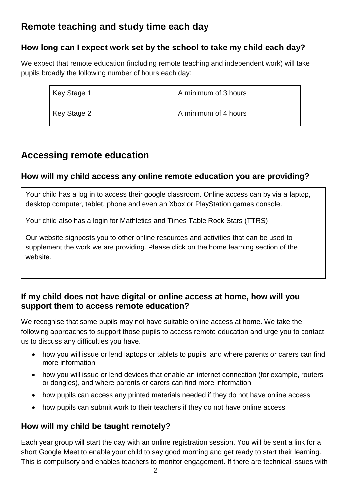## **Remote teaching and study time each day**

#### **How long can I expect work set by the school to take my child each day?**

We expect that remote education (including remote teaching and independent work) will take pupils broadly the following number of hours each day:

| Key Stage 1 | A minimum of 3 hours |
|-------------|----------------------|
| Key Stage 2 | A minimum of 4 hours |

### **Accessing remote education**

#### **How will my child access any online remote education you are providing?**

Your child has a log in to access their google classroom. Online access can by via a laptop, desktop computer, tablet, phone and even an Xbox or PlayStation games console.

Your child also has a login for Mathletics and Times Table Rock Stars (TTRS)

Our website signposts you to other online resources and activities that can be used to supplement the work we are providing. Please click on the home learning section of the website.

#### **If my child does not have digital or online access at home, how will you support them to access remote education?**

We recognise that some pupils may not have suitable online access at home. We take the following approaches to support those pupils to access remote education and urge you to contact us to discuss any difficulties you have.

- how you will issue or lend laptops or tablets to pupils, and where parents or carers can find more information
- how you will issue or lend devices that enable an internet connection (for example, routers or dongles), and where parents or carers can find more information
- how pupils can access any printed materials needed if they do not have online access
- how pupils can submit work to their teachers if they do not have online access

#### **How will my child be taught remotely?**

Each year group will start the day with an online registration session. You will be sent a link for a short Google Meet to enable your child to say good morning and get ready to start their learning. This is compulsory and enables teachers to monitor engagement. If there are technical issues with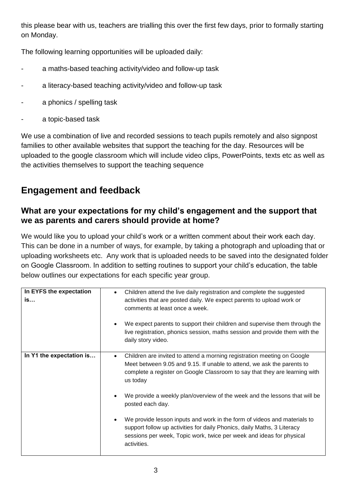this please bear with us, teachers are trialling this over the first few days, prior to formally starting on Monday.

The following learning opportunities will be uploaded daily:

- a maths-based teaching activity/video and follow-up task
- a literacy-based teaching activity/video and follow-up task
- a phonics / spelling task
- a topic-based task

We use a combination of live and recorded sessions to teach pupils remotely and also signpost families to other available websites that support the teaching for the day. Resources will be uploaded to the google classroom which will include video clips, PowerPoints, texts etc as well as the activities themselves to support the teaching sequence

## **Engagement and feedback**

#### **What are your expectations for my child's engagement and the support that we as parents and carers should provide at home?**

We would like you to upload your child's work or a written comment about their work each day. This can be done in a number of ways, for example, by taking a photograph and uploading that or uploading worksheets etc. Any work that is uploaded needs to be saved into the designated folder on Google Classroom. In addition to setting routines to support your child's education, the table below outlines our expectations for each specific year group.

| In EYFS the expectation<br>is | Children attend the live daily registration and complete the suggested<br>$\bullet$<br>activities that are posted daily. We expect parents to upload work or<br>comments at least once a week.<br>We expect parents to support their children and supervise them through the<br>live registration, phonics session, maths session and provide them with the<br>daily story video.                                                                                                                                                                                                                        |
|-------------------------------|----------------------------------------------------------------------------------------------------------------------------------------------------------------------------------------------------------------------------------------------------------------------------------------------------------------------------------------------------------------------------------------------------------------------------------------------------------------------------------------------------------------------------------------------------------------------------------------------------------|
| In Y1 the expectation is      | Children are invited to attend a morning registration meeting on Google<br>$\bullet$<br>Meet between 9.05 and 9.15. If unable to attend, we ask the parents to<br>complete a register on Google Classroom to say that they are learning with<br>us today<br>We provide a weekly plan/overview of the week and the lessons that will be<br>posted each day.<br>We provide lesson inputs and work in the form of videos and materials to<br>support follow up activities for daily Phonics, daily Maths, 3 Literacy<br>sessions per week, Topic work, twice per week and ideas for physical<br>activities. |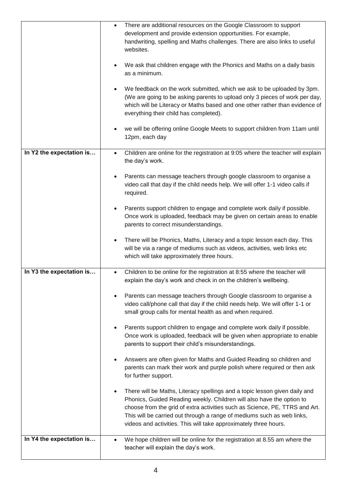|                          | There are additional resources on the Google Classroom to support<br>$\bullet$               |
|--------------------------|----------------------------------------------------------------------------------------------|
|                          | development and provide extension opportunities. For example,                                |
|                          | handwriting, spelling and Maths challenges. There are also links to useful                   |
|                          | websites.                                                                                    |
|                          |                                                                                              |
|                          | We ask that children engage with the Phonics and Maths on a daily basis                      |
|                          | as a minimum.                                                                                |
|                          |                                                                                              |
|                          | We feedback on the work submitted, which we ask to be uploaded by 3pm.                       |
|                          | (We are going to be asking parents to upload only 3 pieces of work per day,                  |
|                          | which will be Literacy or Maths based and one other rather than evidence of                  |
|                          | everything their child has completed).                                                       |
|                          |                                                                                              |
|                          | we will be offering online Google Meets to support children from 11am until<br>٠             |
|                          | 12pm, each day                                                                               |
|                          |                                                                                              |
| In Y2 the expectation is | Children are online for the registration at 9:05 where the teacher will explain<br>$\bullet$ |
|                          | the day's work.                                                                              |
|                          |                                                                                              |
|                          | Parents can message teachers through google classroom to organise a                          |
|                          | video call that day if the child needs help. We will offer 1-1 video calls if                |
|                          | required.                                                                                    |
|                          |                                                                                              |
|                          | Parents support children to engage and complete work daily if possible.                      |
|                          | Once work is uploaded, feedback may be given on certain areas to enable                      |
|                          | parents to correct misunderstandings.                                                        |
|                          |                                                                                              |
|                          | There will be Phonics, Maths, Literacy and a topic lesson each day. This                     |
|                          | will be via a range of mediums such as videos, activities, web links etc                     |
|                          | which will take approximately three hours.                                                   |
|                          |                                                                                              |
| In Y3 the expectation is | Children to be online for the registration at 8:55 where the teacher will<br>$\bullet$       |
|                          | explain the day's work and check in on the children's wellbeing.                             |
|                          |                                                                                              |
|                          | Parents can message teachers through Google classroom to organise a                          |
|                          | video call/phone call that day if the child needs help. We will offer 1-1 or                 |
|                          | small group calls for mental health as and when required.                                    |
|                          |                                                                                              |
|                          | Parents support children to engage and complete work daily if possible.                      |
|                          | Once work is uploaded, feedback will be given when appropriate to enable                     |
|                          | parents to support their child's misunderstandings.                                          |
|                          |                                                                                              |
|                          | Answers are often given for Maths and Guided Reading so children and                         |
|                          | parents can mark their work and purple polish where required or then ask                     |
|                          | for further support.                                                                         |
|                          |                                                                                              |
|                          | There will be Maths, Literacy spellings and a topic lesson given daily and                   |
|                          | Phonics, Guided Reading weekly. Children will also have the option to                        |
|                          | choose from the grid of extra activities such as Science, PE, TTRS and Art.                  |
|                          | This will be carried out through a range of mediums such as web links,                       |
|                          | videos and activities. This will take approximately three hours.                             |
|                          |                                                                                              |
| In Y4 the expectation is | We hope children will be online for the registration at 8.55 am where the<br>$\bullet$       |
|                          | teacher will explain the day's work.                                                         |
|                          |                                                                                              |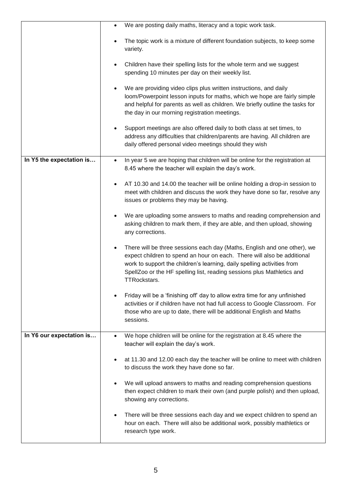|                          | We are posting daily maths, literacy and a topic work task.<br>$\bullet$                                                                                                                                                                                                                                                                     |
|--------------------------|----------------------------------------------------------------------------------------------------------------------------------------------------------------------------------------------------------------------------------------------------------------------------------------------------------------------------------------------|
|                          | The topic work is a mixture of different foundation subjects, to keep some<br>variety.                                                                                                                                                                                                                                                       |
|                          | Children have their spelling lists for the whole term and we suggest<br>$\bullet$<br>spending 10 minutes per day on their weekly list.                                                                                                                                                                                                       |
|                          | We are providing video clips plus written instructions, and daily<br>$\bullet$<br>loom/Powerpoint lesson inputs for maths, which we hope are fairly simple<br>and helpful for parents as well as children. We briefly outline the tasks for<br>the day in our morning registration meetings.                                                 |
|                          | Support meetings are also offered daily to both class at set times, to<br>$\bullet$<br>address any difficulties that children/parents are having. All children are<br>daily offered personal video meetings should they wish                                                                                                                 |
| In Y5 the expectation is | In year 5 we are hoping that children will be online for the registration at<br>$\bullet$<br>8.45 where the teacher will explain the day's work.                                                                                                                                                                                             |
|                          | AT 10.30 and 14.00 the teacher will be online holding a drop-in session to<br>$\bullet$<br>meet with children and discuss the work they have done so far, resolve any<br>issues or problems they may be having.                                                                                                                              |
|                          | We are uploading some answers to maths and reading comprehension and<br>$\bullet$<br>asking children to mark them, if they are able, and then upload, showing<br>any corrections.                                                                                                                                                            |
|                          | There will be three sessions each day (Maths, English and one other), we<br>$\bullet$<br>expect children to spend an hour on each. There will also be additional<br>work to support the children's learning, daily spelling activities from<br>SpellZoo or the HF spelling list, reading sessions plus Mathletics and<br><b>TTRockstars.</b> |
|                          | Friday will be a 'finishing off' day to allow extra time for any unfinished<br>activities or if children have not had full access to Google Classroom. For<br>those who are up to date, there will be additional English and Maths<br>sessions.                                                                                              |
| In Y6 our expectation is | We hope children will be online for the registration at 8.45 where the<br>$\bullet$<br>teacher will explain the day's work.                                                                                                                                                                                                                  |
|                          | at 11.30 and 12.00 each day the teacher will be online to meet with children<br>$\bullet$<br>to discuss the work they have done so far.                                                                                                                                                                                                      |
|                          | We will upload answers to maths and reading comprehension questions<br>then expect children to mark their own (and purple polish) and then upload,<br>showing any corrections.                                                                                                                                                               |
|                          | There will be three sessions each day and we expect children to spend an<br>٠<br>hour on each. There will also be additional work, possibly mathletics or<br>research type work.                                                                                                                                                             |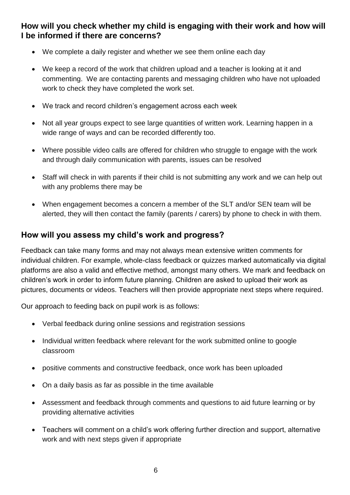**How will you check whether my child is engaging with their work and how will I be informed if there are concerns?**

- We complete a daily register and whether we see them online each day
- We keep a record of the work that children upload and a teacher is looking at it and commenting. We are contacting parents and messaging children who have not uploaded work to check they have completed the work set.
- We track and record children's engagement across each week
- Not all year groups expect to see large quantities of written work. Learning happen in a wide range of ways and can be recorded differently too.
- Where possible video calls are offered for children who struggle to engage with the work and through daily communication with parents, issues can be resolved
- Staff will check in with parents if their child is not submitting any work and we can help out with any problems there may be
- When engagement becomes a concern a member of the SLT and/or SEN team will be alerted, they will then contact the family (parents / carers) by phone to check in with them.

#### **How will you assess my child's work and progress?**

Feedback can take many forms and may not always mean extensive written comments for individual children. For example, whole-class feedback or quizzes marked automatically via digital platforms are also a valid and effective method, amongst many others. We mark and feedback on children's work in order to inform future planning. Children are asked to upload their work as pictures, documents or videos. Teachers will then provide appropriate next steps where required.

Our approach to feeding back on pupil work is as follows:

- Verbal feedback during online sessions and registration sessions
- Individual written feedback where relevant for the work submitted online to google classroom
- positive comments and constructive feedback, once work has been uploaded
- On a daily basis as far as possible in the time available
- Assessment and feedback through comments and questions to aid future learning or by providing alternative activities
- Teachers will comment on a child's work offering further direction and support, alternative work and with next steps given if appropriate